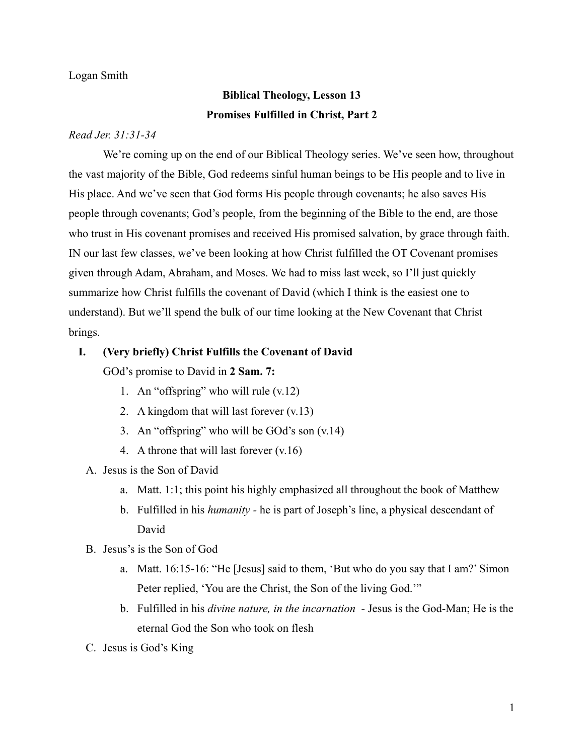## Logan Smith

# **Biblical Theology, Lesson 13 Promises Fulfilled in Christ, Part 2**

# *Read Jer. 31:31-34*

We're coming up on the end of our Biblical Theology series. We've seen how, throughout the vast majority of the Bible, God redeems sinful human beings to be His people and to live in His place. And we've seen that God forms His people through covenants; he also saves His people through covenants; God's people, from the beginning of the Bible to the end, are those who trust in His covenant promises and received His promised salvation, by grace through faith. IN our last few classes, we've been looking at how Christ fulfilled the OT Covenant promises given through Adam, Abraham, and Moses. We had to miss last week, so I'll just quickly summarize how Christ fulfills the covenant of David (which I think is the easiest one to understand). But we'll spend the bulk of our time looking at the New Covenant that Christ brings.

# **I. (Very briefly) Christ Fulfills the Covenant of David**

GOd's promise to David in **2 Sam. 7:**

- 1. An "offspring" who will rule (v.12)
- 2. A kingdom that will last forever (v.13)
- 3. An "offspring" who will be GOd's son  $(v.14)$
- 4. A throne that will last forever (v.16)
- A. Jesus is the Son of David
	- a. Matt. 1:1; this point his highly emphasized all throughout the book of Matthew
	- b. Fulfilled in his *humanity -* he is part of Joseph's line, a physical descendant of David
- B. Jesus's is the Son of God
	- a. Matt. 16:15-16: "He [Jesus] said to them, 'But who do you say that I am?' Simon Peter replied, 'You are the Christ, the Son of the living God.'"
	- b. Fulfilled in his *divine nature, in the incarnation -* Jesus is the God-Man; He is the eternal God the Son who took on flesh
- C. Jesus is God's King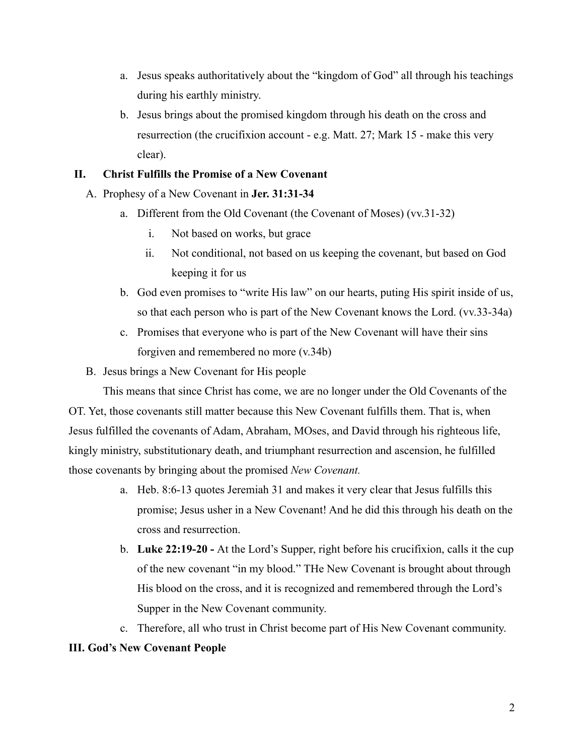- a. Jesus speaks authoritatively about the "kingdom of God" all through his teachings during his earthly ministry.
- b. Jesus brings about the promised kingdom through his death on the cross and resurrection (the crucifixion account - e.g. Matt. 27; Mark 15 - make this very clear).

# **II. Christ Fulfills the Promise of a New Covenant**

- A. Prophesy of a New Covenant in **Jer. 31:31-34**
	- a. Different from the Old Covenant (the Covenant of Moses) (vv.31-32)
		- i. Not based on works, but grace
		- ii. Not conditional, not based on us keeping the covenant, but based on God keeping it for us
	- b. God even promises to "write His law" on our hearts, puting His spirit inside of us, so that each person who is part of the New Covenant knows the Lord. (vv.33-34a)
	- c. Promises that everyone who is part of the New Covenant will have their sins forgiven and remembered no more (v.34b)
- B. Jesus brings a New Covenant for His people

This means that since Christ has come, we are no longer under the Old Covenants of the OT. Yet, those covenants still matter because this New Covenant fulfills them. That is, when Jesus fulfilled the covenants of Adam, Abraham, MOses, and David through his righteous life, kingly ministry, substitutionary death, and triumphant resurrection and ascension, he fulfilled those covenants by bringing about the promised *New Covenant.*

- a. Heb. 8:6-13 quotes Jeremiah 31 and makes it very clear that Jesus fulfills this promise; Jesus usher in a New Covenant! And he did this through his death on the cross and resurrection.
- b. **Luke 22:19-20 -** At the Lord's Supper, right before his crucifixion, calls it the cup of the new covenant "in my blood." THe New Covenant is brought about through His blood on the cross, and it is recognized and remembered through the Lord's Supper in the New Covenant community.
- c. Therefore, all who trust in Christ become part of His New Covenant community.

# **III. God's New Covenant People**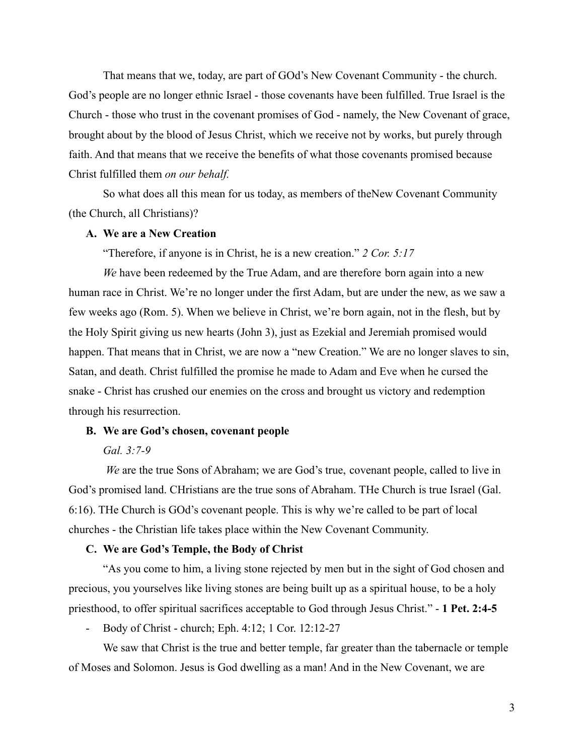That means that we, today, are part of GOd's New Covenant Community - the church. God's people are no longer ethnic Israel - those covenants have been fulfilled. True Israel is the Church - those who trust in the covenant promises of God - namely, the New Covenant of grace, brought about by the blood of Jesus Christ, which we receive not by works, but purely through faith. And that means that we receive the benefits of what those covenants promised because Christ fulfilled them *on our behalf.*

So what does all this mean for us today, as members of theNew Covenant Community (the Church, all Christians)?

### **A. We are a New Creation**

"Therefore, if anyone is in Christ, he is a new creation." *2 Cor. 5:17*

*We* have been redeemed by the True Adam, and are therefore born again into a new human race in Christ. We're no longer under the first Adam, but are under the new, as we saw a few weeks ago (Rom. 5). When we believe in Christ, we're born again, not in the flesh, but by the Holy Spirit giving us new hearts (John 3), just as Ezekial and Jeremiah promised would happen. That means that in Christ, we are now a "new Creation." We are no longer slaves to sin, Satan, and death. Christ fulfilled the promise he made to Adam and Eve when he cursed the snake - Christ has crushed our enemies on the cross and brought us victory and redemption through his resurrection.

#### **B. We are God's chosen, covenant people**

#### *Gal. 3:7-9*

*We* are the true Sons of Abraham; we are God's true, covenant people, called to live in God's promised land. CHristians are the true sons of Abraham. THe Church is true Israel (Gal. 6:16). THe Church is GOd's covenant people. This is why we're called to be part of local churches - the Christian life takes place within the New Covenant Community.

#### **C. We are God's Temple, the Body of Christ**

"As you come to him, a living stone rejected by men but in the sight of God chosen and precious, you yourselves like living stones are being built up as a spiritual house, to be a holy priesthood, to offer spiritual sacrifices acceptable to God through Jesus Christ." - **1 Pet. 2:4-5**

- Body of Christ - church; Eph. 4:12; 1 Cor. 12:12-27

We saw that Christ is the true and better temple, far greater than the tabernacle or temple of Moses and Solomon. Jesus is God dwelling as a man! And in the New Covenant, we are